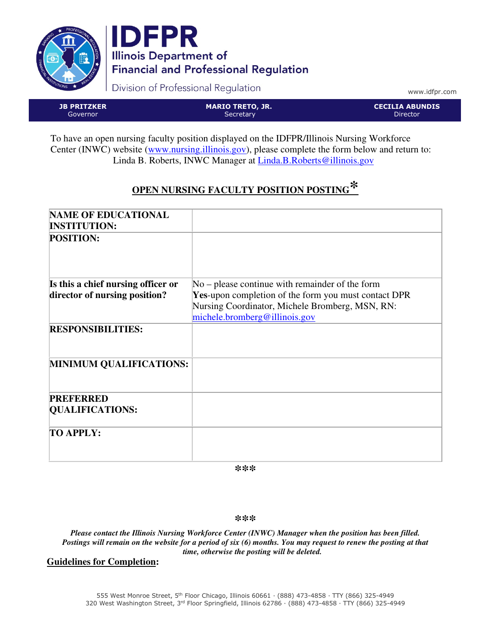



Division of Professional Regulation

www.idfpr.com

JB PRITZKER Governor

MARIO TRETO, JR. **Secretary** 

CECILIA ABUNDIS Director

To have an open nursing faculty position displayed on the IDFPR/Illinois Nursing Workforce Center (INWC) website (www.nursing.illinois.gov), please complete the form below and return to: Linda B. Roberts, INWC Manager at Linda.B. Roberts@illinois.gov

# **OPEN NURSING FACULTY POSITION POSTING\***

| <b>NAME OF EDUCATIONAL</b>         |                                                             |
|------------------------------------|-------------------------------------------------------------|
| <b>INSTITUTION:</b>                |                                                             |
| <b>POSITION:</b>                   |                                                             |
|                                    |                                                             |
|                                    |                                                             |
| Is this a chief nursing officer or | $No$ – please continue with remainder of the form           |
| director of nursing position?      | <b>Yes-upon completion of the form you must contact DPR</b> |
|                                    | Nursing Coordinator, Michele Bromberg, MSN, RN:             |
|                                    | michele.bromberg@illinois.gov                               |
| <b>RESPONSIBILITIES:</b>           |                                                             |
|                                    |                                                             |
|                                    |                                                             |
| <b>MINIMUM QUALIFICATIONS:</b>     |                                                             |
|                                    |                                                             |
|                                    |                                                             |
| <b>PREFERRED</b>                   |                                                             |
| <b>QUALIFICATIONS:</b>             |                                                             |
|                                    |                                                             |
| <b>TO APPLY:</b>                   |                                                             |
|                                    |                                                             |
|                                    |                                                             |
|                                    |                                                             |

*\*\*\** 

*\*\*\** 

*Please contact the Illinois Nursing Workforce Center (INWC) Manager when the position has been filled. Postings will remain on the website for a period of six (6) months. You may request to renew the posting at that time, otherwise the posting will be deleted.* 

## **Guidelines for Completion:**